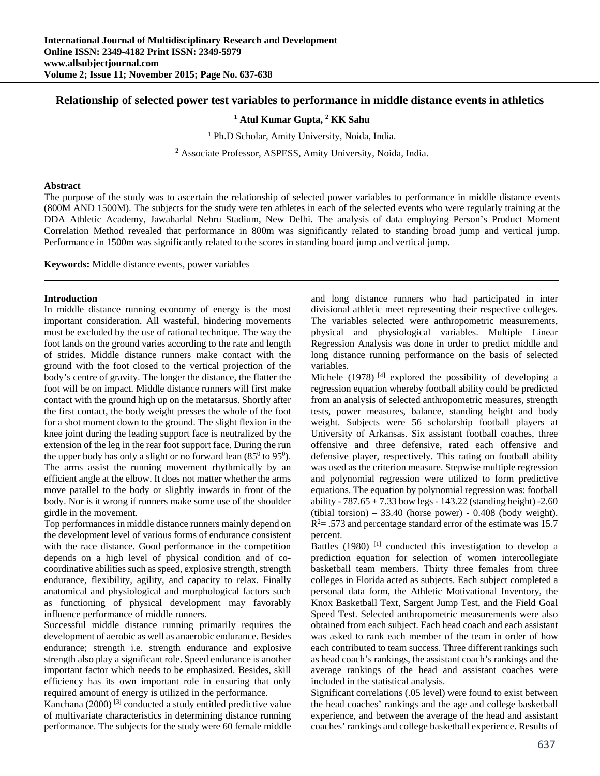# **Relationship of selected power test variables to performance in middle distance events in athletics**

<sup>1</sup> Atul Kumar Gupta, <sup>2</sup> KK Sahu

<sup>1</sup> Ph.D Scholar, Amity University, Noida, India.

<sup>2</sup> Associate Professor, ASPESS, Amity University, Noida, India.

#### **Abstract**

The purpose of the study was to ascertain the relationship of selected power variables to performance in middle distance events (800M AND 1500M). The subjects for the study were ten athletes in each of the selected events who were regularly training at the DDA Athletic Academy, Jawaharlal Nehru Stadium, New Delhi. The analysis of data employing Person's Product Moment Correlation Method revealed that performance in 800m was significantly related to standing broad jump and vertical jump. Performance in 1500m was significantly related to the scores in standing board jump and vertical jump.

**Keywords:** Middle distance events, power variables

### **Introduction**

In middle distance running economy of energy is the most important consideration. All wasteful, hindering movements must be excluded by the use of rational technique. The way the foot lands on the ground varies according to the rate and length of strides. Middle distance runners make contact with the ground with the foot closed to the vertical projection of the body's centre of gravity. The longer the distance, the flatter the foot will be on impact. Middle distance runners will first make contact with the ground high up on the metatarsus. Shortly after the first contact, the body weight presses the whole of the foot for a shot moment down to the ground. The slight flexion in the knee joint during the leading support face is neutralized by the extension of the leg in the rear foot support face. During the run the upper body has only a slight or no forward lean  $(85^{\circ}$  to  $95^{\circ})$ . The arms assist the running movement rhythmically by an efficient angle at the elbow. It does not matter whether the arms move parallel to the body or slightly inwards in front of the body. Nor is it wrong if runners make some use of the shoulder girdle in the movement.

Top performances in middle distance runners mainly depend on the development level of various forms of endurance consistent with the race distance. Good performance in the competition depends on a high level of physical condition and of cocoordinative abilities such as speed, explosive strength, strength endurance, flexibility, agility, and capacity to relax. Finally anatomical and physiological and morphological factors such as functioning of physical development may favorably influence performance of middle runners.

Successful middle distance running primarily requires the development of aerobic as well as anaerobic endurance. Besides endurance; strength i.e. strength endurance and explosive strength also play a significant role. Speed endurance is another important factor which needs to be emphasized. Besides, skill efficiency has its own important role in ensuring that only required amount of energy is utilized in the performance.

Kanchana (2000) [3] conducted a study entitled predictive value of multivariate characteristics in determining distance running performance. The subjects for the study were 60 female middle

and long distance runners who had participated in inter divisional athletic meet representing their respective colleges. The variables selected were anthropometric measurements, physical and physiological variables. Multiple Linear Regression Analysis was done in order to predict middle and long distance running performance on the basis of selected variables.

Michele (1978)<sup> $[4]$ </sup> explored the possibility of developing a regression equation whereby football ability could be predicted from an analysis of selected anthropometric measures, strength tests, power measures, balance, standing height and body weight. Subjects were 56 scholarship football players at University of Arkansas. Six assistant football coaches, three offensive and three defensive, rated each offensive and defensive player, respectively. This rating on football ability was used as the criterion measure. Stepwise multiple regression and polynomial regression were utilized to form predictive equations. The equation by polynomial regression was: football ability -  $787.65 + 7.33$  bow legs - 143.22 (standing height) -2.60 (tibial torsion) –  $33.40$  (horse power) -  $0.408$  (body weight).  $R<sup>2</sup> = .573$  and percentage standard error of the estimate was 15.7 percent.

Battles (1980)<sup>[1]</sup> conducted this investigation to develop a prediction equation for selection of women intercollegiate basketball team members. Thirty three females from three colleges in Florida acted as subjects. Each subject completed a personal data form, the Athletic Motivational Inventory, the Knox Basketball Text, Sargent Jump Test, and the Field Goal Speed Test. Selected anthropometric measurements were also obtained from each subject. Each head coach and each assistant was asked to rank each member of the team in order of how each contributed to team success. Three different rankings such as head coach's rankings, the assistant coach's rankings and the average rankings of the head and assistant coaches were included in the statistical analysis.

Significant correlations (.05 level) were found to exist between the head coaches' rankings and the age and college basketball experience, and between the average of the head and assistant coaches' rankings and college basketball experience. Results of